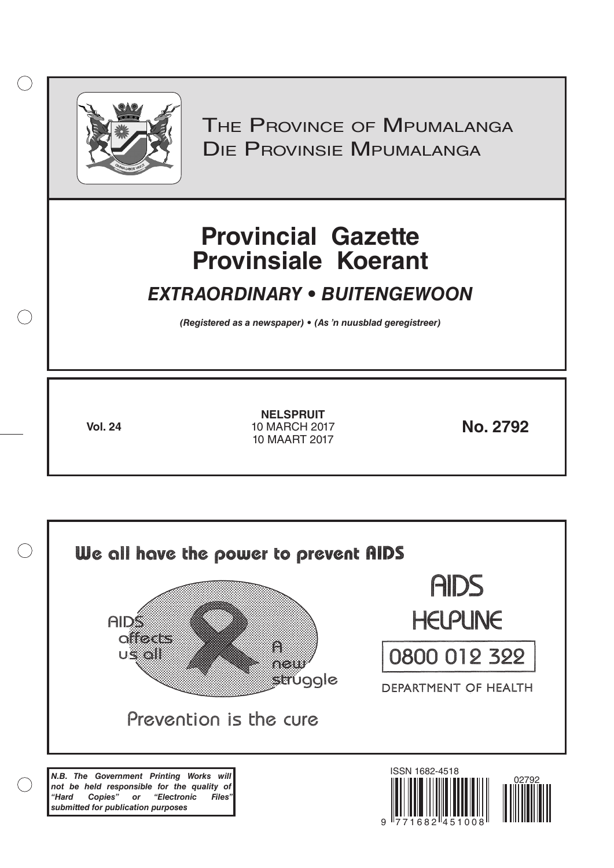

 $( )$ 

THE PROVINCE OF MPUMALANGA Die Provinsie Mpumalanga

# **Provincial Gazette Provinsiale Koerant**

# *EXTRAORDINARY • BUITENGEWOON*

*(Registered as a newspaper) • (As 'n nuusblad geregistreer)*

**Vol. 24 No. 2792** 10 MARCH 2017 **NELSPRUIT** 10 MAART 2017

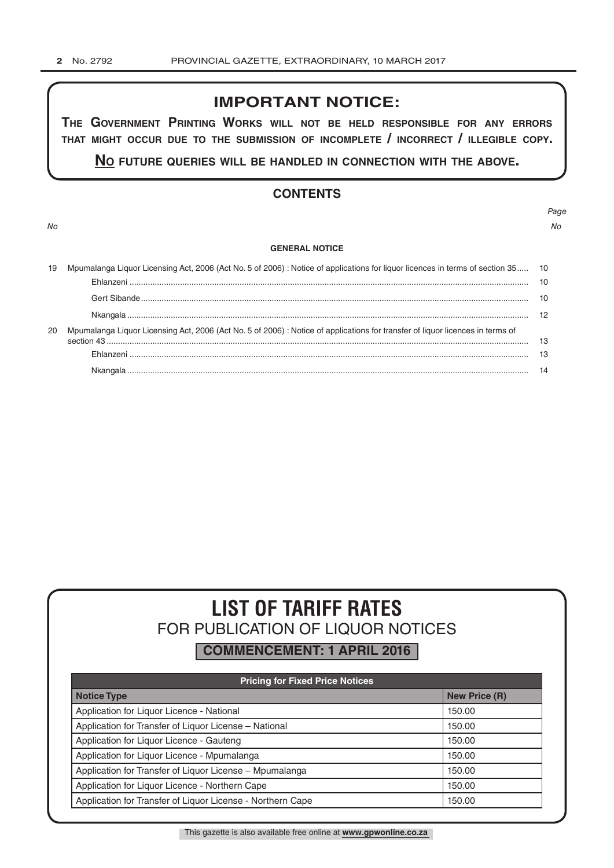# **IMPORTANT NOTICE:**

**The GovernmenT PrinTinG Works Will noT be held resPonsible for any errors ThaT miGhT occur due To The submission of incomPleTe / incorrecT / illeGible coPy.**

**no fuTure queries Will be handled in connecTion WiTh The above.**

# **CONTENTS**

*No No*

# *Page*

#### **GENERAL NOTICE**

|    | Mpumalanga Liquor Licensing Act, 2006 (Act No. 5 of 2006) : Notice of applications for liquor licences in terms of section 35 10 |    |
|----|----------------------------------------------------------------------------------------------------------------------------------|----|
|    |                                                                                                                                  |    |
|    |                                                                                                                                  | 10 |
|    |                                                                                                                                  |    |
| 20 | Mpumalanga Liquor Licensing Act, 2006 (Act No. 5 of 2006) : Notice of applications for transfer of liquor licences in terms of   |    |
|    |                                                                                                                                  | 13 |
|    |                                                                                                                                  |    |

# **LIST OF TARIFF RATES** FOR PUBLICATION OF LIQUOR NOTICES

**COMMENCEMENT: 1 APRIL 2016**

| <b>Pricing for Fixed Price Notices</b>                     |                      |  |  |  |
|------------------------------------------------------------|----------------------|--|--|--|
| <b>Notice Type</b>                                         | <b>New Price (R)</b> |  |  |  |
| Application for Liquor Licence - National                  | 150.00               |  |  |  |
| Application for Transfer of Liquor License - National      | 150.00               |  |  |  |
| Application for Liquor Licence - Gauteng                   | 150.00               |  |  |  |
| Application for Liquor Licence - Mpumalanga                | 150.00               |  |  |  |
| Application for Transfer of Liquor License - Mpumalanga    | 150.00               |  |  |  |
| Application for Liquor Licence - Northern Cape             | 150.00               |  |  |  |
| Application for Transfer of Liquor License - Northern Cape | 150.00               |  |  |  |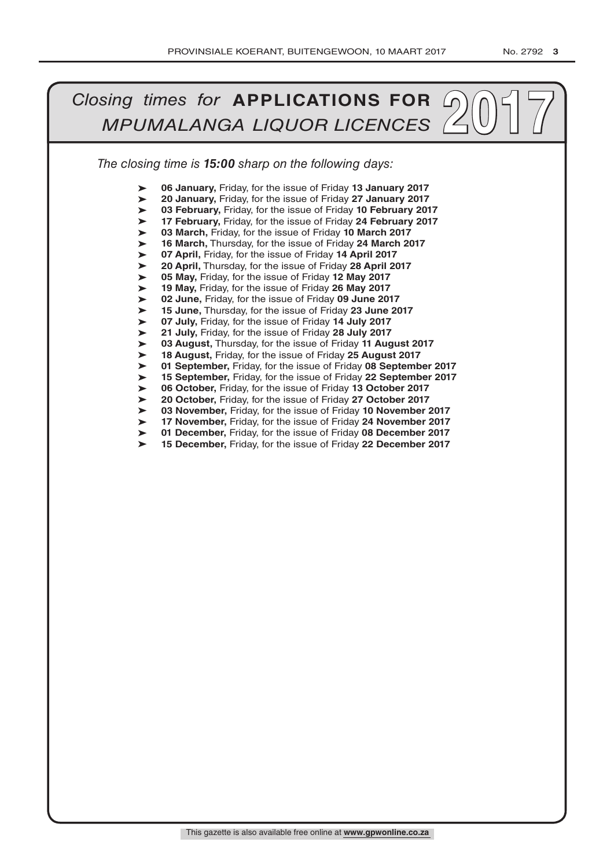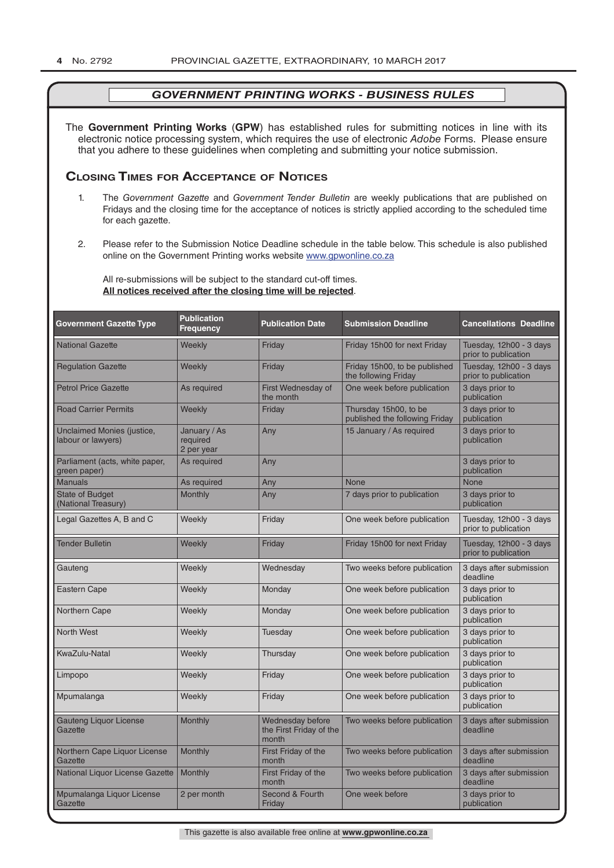The **Government Printing Works** (**GPW**) has established rules for submitting notices in line with its electronic notice processing system, which requires the use of electronic *Adobe* Forms. Please ensure that you adhere to these guidelines when completing and submitting your notice submission.

# **Closing Times for ACCepTAnCe of noTiCes**

- 1. The *Government Gazette* and *Government Tender Bulletin* are weekly publications that are published on Fridays and the closing time for the acceptance of notices is strictly applied according to the scheduled time for each gazette.
- 2. Please refer to the Submission Notice Deadline schedule in the table below. This schedule is also published online on the Government Printing works website www.gpwonline.co.za

All re-submissions will be subject to the standard cut-off times. **All notices received after the closing time will be rejected**.

| <b>Government Gazette Type</b>                          | <b>Publication</b><br><b>Frequency</b> | <b>Publication Date</b>                              | <b>Submission Deadline</b>                              | <b>Cancellations Deadline</b>                   |
|---------------------------------------------------------|----------------------------------------|------------------------------------------------------|---------------------------------------------------------|-------------------------------------------------|
| <b>National Gazette</b>                                 | Weekly                                 | Friday                                               | Friday 15h00 for next Friday                            | Tuesday, 12h00 - 3 days<br>prior to publication |
| <b>Regulation Gazette</b>                               | Weekly                                 | Friday                                               | Friday 15h00, to be published<br>the following Friday   | Tuesday, 12h00 - 3 days<br>prior to publication |
| <b>Petrol Price Gazette</b>                             | As required                            | First Wednesday of<br>the month                      | One week before publication                             | 3 days prior to<br>publication                  |
| <b>Road Carrier Permits</b>                             | Weekly                                 | Friday                                               | Thursday 15h00, to be<br>published the following Friday | 3 days prior to<br>publication                  |
| <b>Unclaimed Monies (justice,</b><br>labour or lawyers) | January / As<br>required<br>2 per year | Any                                                  | 15 January / As required                                | 3 days prior to<br>publication                  |
| Parliament (acts, white paper,<br>green paper)          | As required                            | Any                                                  |                                                         | 3 days prior to<br>publication                  |
| <b>Manuals</b>                                          | As required                            | Any                                                  | <b>None</b>                                             | <b>None</b>                                     |
| <b>State of Budget</b><br>(National Treasury)           | <b>Monthly</b>                         | Any                                                  | 7 days prior to publication                             | 3 days prior to<br>publication                  |
| Legal Gazettes A, B and C                               | Weekly                                 | Friday                                               | One week before publication                             | Tuesday, 12h00 - 3 days<br>prior to publication |
| <b>Tender Bulletin</b>                                  | Weekly                                 | Friday                                               | Friday 15h00 for next Friday                            | Tuesday, 12h00 - 3 days<br>prior to publication |
| Gauteng                                                 | Weekly                                 | Wednesday                                            | Two weeks before publication                            | 3 days after submission<br>deadline             |
| <b>Eastern Cape</b>                                     | Weekly                                 | Monday                                               | One week before publication                             | 3 days prior to<br>publication                  |
| <b>Northern Cape</b>                                    | Weekly                                 | Monday                                               | One week before publication                             | 3 days prior to<br>publication                  |
| <b>North West</b>                                       | Weekly                                 | Tuesday                                              | One week before publication                             | 3 days prior to<br>publication                  |
| KwaZulu-Natal                                           | Weekly                                 | Thursday                                             | One week before publication                             | 3 days prior to<br>publication                  |
| Limpopo                                                 | Weekly                                 | Friday                                               | One week before publication                             | 3 days prior to<br>publication                  |
| Mpumalanga                                              | Weekly                                 | Friday                                               | One week before publication                             | 3 days prior to<br>publication                  |
| <b>Gauteng Liquor License</b><br>Gazette                | Monthly                                | Wednesday before<br>the First Friday of the<br>month | Two weeks before publication                            | 3 days after submission<br>deadline             |
| Northern Cape Liquor License<br>Gazette                 | Monthly                                | First Friday of the<br>month                         | Two weeks before publication                            | 3 days after submission<br>deadline             |
| National Liquor License Gazette                         | Monthly                                | First Friday of the<br>month                         | Two weeks before publication                            | 3 days after submission<br>deadline             |
| Mpumalanga Liquor License<br>Gazette                    | 2 per month                            | Second & Fourth<br>Friday                            | One week before                                         | 3 days prior to<br>publication                  |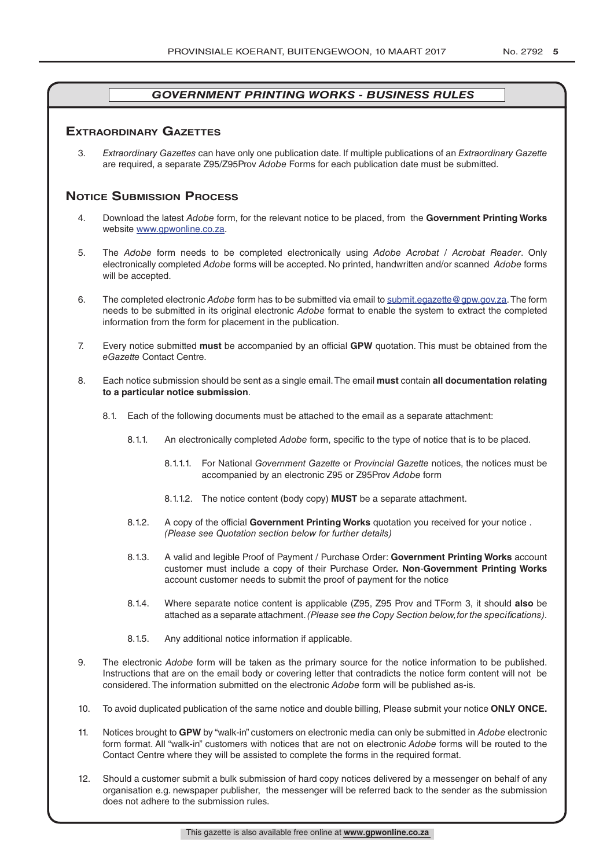# **exTrAordinAry gAzeTTes**

3. *Extraordinary Gazettes* can have only one publication date. If multiple publications of an *Extraordinary Gazette* are required, a separate Z95/Z95Prov *Adobe* Forms for each publication date must be submitted.

# **NOTICE SUBMISSION PROCESS**

- 4. Download the latest *Adobe* form, for the relevant notice to be placed, from the **Government Printing Works** website www.gpwonline.co.za.
- 5. The *Adobe* form needs to be completed electronically using *Adobe Acrobat* / *Acrobat Reader*. Only electronically completed *Adobe* forms will be accepted. No printed, handwritten and/or scanned *Adobe* forms will be accepted.
- 6. The completed electronic *Adobe* form has to be submitted via email to submit.egazette@gpw.gov.za. The form needs to be submitted in its original electronic *Adobe* format to enable the system to extract the completed information from the form for placement in the publication.
- 7. Every notice submitted **must** be accompanied by an official **GPW** quotation. This must be obtained from the *eGazette* Contact Centre.
- 8. Each notice submission should be sent as a single email. The email **must** contain **all documentation relating to a particular notice submission**.
	- 8.1. Each of the following documents must be attached to the email as a separate attachment:
		- 8.1.1. An electronically completed *Adobe* form, specific to the type of notice that is to be placed.
			- 8.1.1.1. For National *Government Gazette* or *Provincial Gazette* notices, the notices must be accompanied by an electronic Z95 or Z95Prov *Adobe* form
			- 8.1.1.2. The notice content (body copy) **MUST** be a separate attachment.
		- 8.1.2. A copy of the official **Government Printing Works** quotation you received for your notice . *(Please see Quotation section below for further details)*
		- 8.1.3. A valid and legible Proof of Payment / Purchase Order: **Government Printing Works** account customer must include a copy of their Purchase Order*.* **Non**-**Government Printing Works** account customer needs to submit the proof of payment for the notice
		- 8.1.4. Where separate notice content is applicable (Z95, Z95 Prov and TForm 3, it should **also** be attached as a separate attachment. *(Please see the Copy Section below, for the specifications)*.
		- 8.1.5. Any additional notice information if applicable.
- 9. The electronic *Adobe* form will be taken as the primary source for the notice information to be published. Instructions that are on the email body or covering letter that contradicts the notice form content will not be considered. The information submitted on the electronic *Adobe* form will be published as-is.
- 10. To avoid duplicated publication of the same notice and double billing, Please submit your notice **ONLY ONCE.**
- 11. Notices brought to **GPW** by "walk-in" customers on electronic media can only be submitted in *Adobe* electronic form format. All "walk-in" customers with notices that are not on electronic *Adobe* forms will be routed to the Contact Centre where they will be assisted to complete the forms in the required format.
- 12. Should a customer submit a bulk submission of hard copy notices delivered by a messenger on behalf of any organisation e.g. newspaper publisher, the messenger will be referred back to the sender as the submission does not adhere to the submission rules.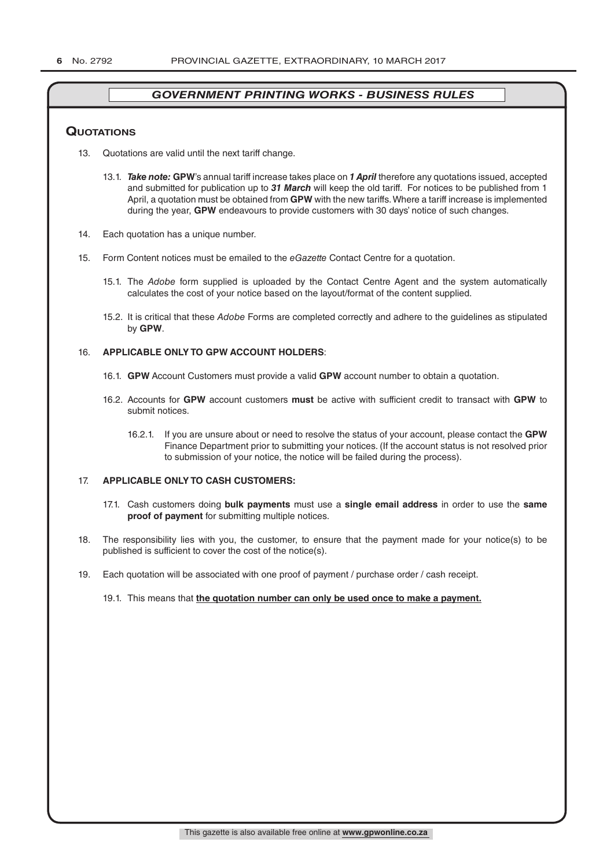#### **QuoTATions**

- 13. Quotations are valid until the next tariff change.
	- 13.1. *Take note:* **GPW**'s annual tariff increase takes place on *1 April* therefore any quotations issued, accepted and submitted for publication up to *31 March* will keep the old tariff. For notices to be published from 1 April, a quotation must be obtained from **GPW** with the new tariffs. Where a tariff increase is implemented during the year, **GPW** endeavours to provide customers with 30 days' notice of such changes.
- 14. Each quotation has a unique number.
- 15. Form Content notices must be emailed to the *eGazette* Contact Centre for a quotation.
	- 15.1. The *Adobe* form supplied is uploaded by the Contact Centre Agent and the system automatically calculates the cost of your notice based on the layout/format of the content supplied.
	- 15.2. It is critical that these *Adobe* Forms are completed correctly and adhere to the guidelines as stipulated by **GPW**.

#### 16. **APPLICABLE ONLY TO GPW ACCOUNT HOLDERS**:

- 16.1. **GPW** Account Customers must provide a valid **GPW** account number to obtain a quotation.
- 16.2. Accounts for **GPW** account customers **must** be active with sufficient credit to transact with **GPW** to submit notices.
	- 16.2.1. If you are unsure about or need to resolve the status of your account, please contact the **GPW** Finance Department prior to submitting your notices. (If the account status is not resolved prior to submission of your notice, the notice will be failed during the process).

#### 17. **APPLICABLE ONLY TO CASH CUSTOMERS:**

- 17.1. Cash customers doing **bulk payments** must use a **single email address** in order to use the **same proof of payment** for submitting multiple notices.
- 18. The responsibility lies with you, the customer, to ensure that the payment made for your notice(s) to be published is sufficient to cover the cost of the notice(s).
- 19. Each quotation will be associated with one proof of payment / purchase order / cash receipt.

#### 19.1. This means that **the quotation number can only be used once to make a payment.**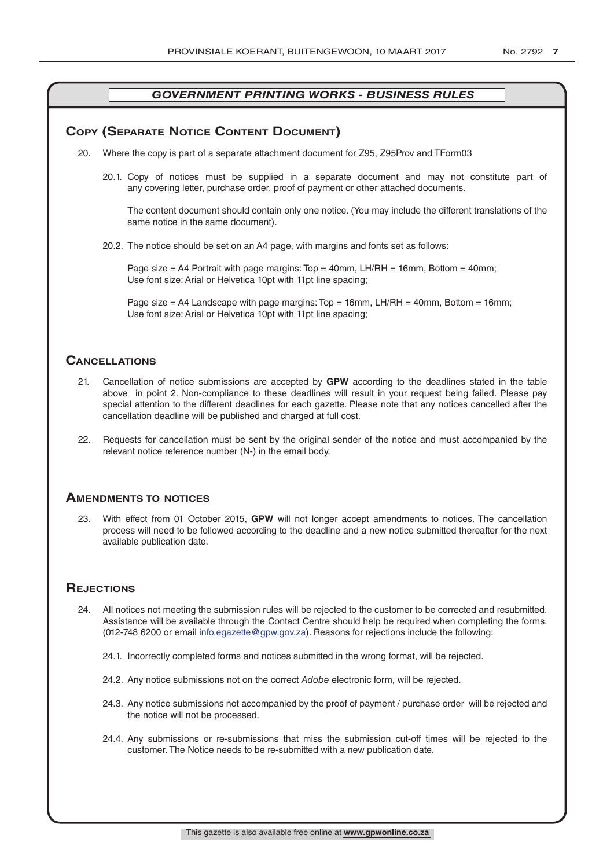# **COPY (SEPARATE NOTICE CONTENT DOCUMENT)**

- 20. Where the copy is part of a separate attachment document for Z95, Z95Prov and TForm03
	- 20.1. Copy of notices must be supplied in a separate document and may not constitute part of any covering letter, purchase order, proof of payment or other attached documents.

The content document should contain only one notice. (You may include the different translations of the same notice in the same document).

20.2. The notice should be set on an A4 page, with margins and fonts set as follows:

Page size  $=$  A4 Portrait with page margins: Top  $=$  40mm, LH/RH  $=$  16mm, Bottom  $=$  40mm; Use font size: Arial or Helvetica 10pt with 11pt line spacing;

Page size = A4 Landscape with page margins: Top = 16mm, LH/RH = 40mm, Bottom = 16mm; Use font size: Arial or Helvetica 10pt with 11pt line spacing;

### **CAnCellATions**

- 21. Cancellation of notice submissions are accepted by **GPW** according to the deadlines stated in the table above in point 2. Non-compliance to these deadlines will result in your request being failed. Please pay special attention to the different deadlines for each gazette. Please note that any notices cancelled after the cancellation deadline will be published and charged at full cost.
- 22. Requests for cancellation must be sent by the original sender of the notice and must accompanied by the relevant notice reference number (N-) in the email body.

#### **AmendmenTs To noTiCes**

23. With effect from 01 October 2015, **GPW** will not longer accept amendments to notices. The cancellation process will need to be followed according to the deadline and a new notice submitted thereafter for the next available publication date.

### **REJECTIONS**

- 24. All notices not meeting the submission rules will be rejected to the customer to be corrected and resubmitted. Assistance will be available through the Contact Centre should help be required when completing the forms. (012-748 6200 or email info.egazette@gpw.gov.za). Reasons for rejections include the following:
	- 24.1. Incorrectly completed forms and notices submitted in the wrong format, will be rejected.
	- 24.2. Any notice submissions not on the correct *Adobe* electronic form, will be rejected.
	- 24.3. Any notice submissions not accompanied by the proof of payment / purchase order will be rejected and the notice will not be processed.
	- 24.4. Any submissions or re-submissions that miss the submission cut-off times will be rejected to the customer. The Notice needs to be re-submitted with a new publication date.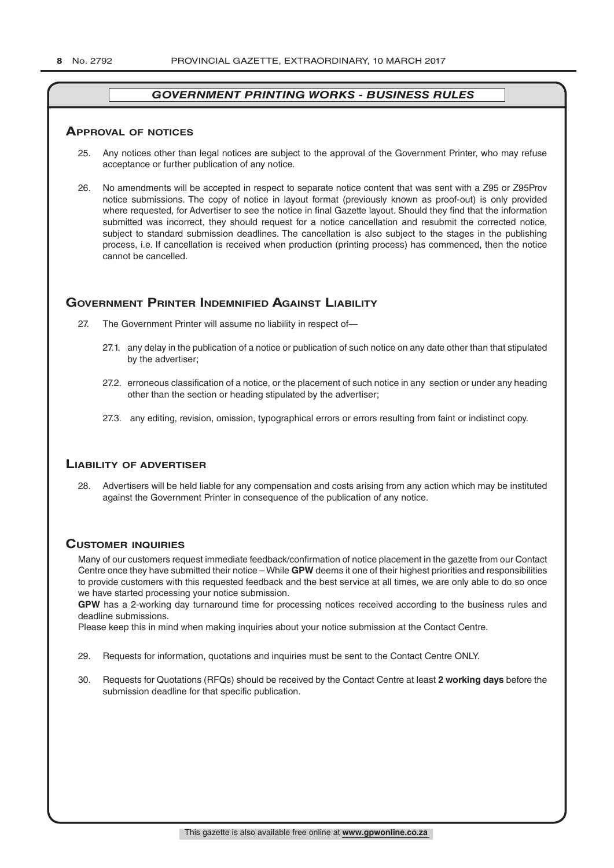#### **ApprovAl of noTiCes**

- 25. Any notices other than legal notices are subject to the approval of the Government Printer, who may refuse acceptance or further publication of any notice.
- 26. No amendments will be accepted in respect to separate notice content that was sent with a Z95 or Z95Prov notice submissions. The copy of notice in layout format (previously known as proof-out) is only provided where requested, for Advertiser to see the notice in final Gazette layout. Should they find that the information submitted was incorrect, they should request for a notice cancellation and resubmit the corrected notice, subject to standard submission deadlines. The cancellation is also subject to the stages in the publishing process, i.e. If cancellation is received when production (printing process) has commenced, then the notice cannot be cancelled.

# **governmenT prinTer indemnified AgAinsT liAbiliTy**

- 27. The Government Printer will assume no liability in respect of—
	- 27.1. any delay in the publication of a notice or publication of such notice on any date other than that stipulated by the advertiser;
	- 27.2. erroneous classification of a notice, or the placement of such notice in any section or under any heading other than the section or heading stipulated by the advertiser;
	- 27.3. any editing, revision, omission, typographical errors or errors resulting from faint or indistinct copy.

# **liAbiliTy of AdverTiser**

28. Advertisers will be held liable for any compensation and costs arising from any action which may be instituted against the Government Printer in consequence of the publication of any notice.

# **CusTomer inQuiries**

Many of our customers request immediate feedback/confirmation of notice placement in the gazette from our Contact Centre once they have submitted their notice – While **GPW** deems it one of their highest priorities and responsibilities to provide customers with this requested feedback and the best service at all times, we are only able to do so once we have started processing your notice submission.

**GPW** has a 2-working day turnaround time for processing notices received according to the business rules and deadline submissions.

Please keep this in mind when making inquiries about your notice submission at the Contact Centre.

- 29. Requests for information, quotations and inquiries must be sent to the Contact Centre ONLY.
- 30. Requests for Quotations (RFQs) should be received by the Contact Centre at least **2 working days** before the submission deadline for that specific publication.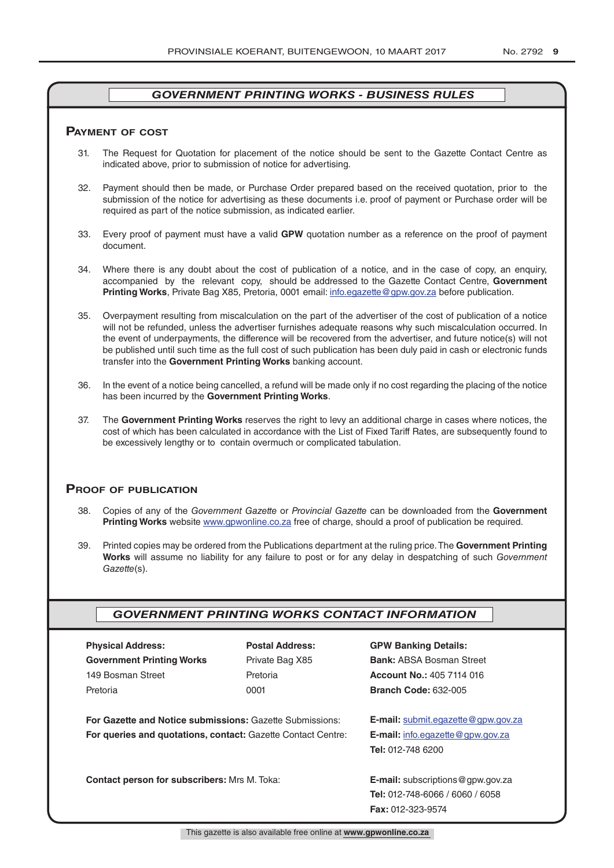#### **pAymenT of CosT**

- 31. The Request for Quotation for placement of the notice should be sent to the Gazette Contact Centre as indicated above, prior to submission of notice for advertising.
- 32. Payment should then be made, or Purchase Order prepared based on the received quotation, prior to the submission of the notice for advertising as these documents i.e. proof of payment or Purchase order will be required as part of the notice submission, as indicated earlier.
- 33. Every proof of payment must have a valid **GPW** quotation number as a reference on the proof of payment document.
- 34. Where there is any doubt about the cost of publication of a notice, and in the case of copy, an enquiry, accompanied by the relevant copy, should be addressed to the Gazette Contact Centre, **Government Printing Works**, Private Bag X85, Pretoria, 0001 email: info.egazette@gpw.gov.za before publication.
- 35. Overpayment resulting from miscalculation on the part of the advertiser of the cost of publication of a notice will not be refunded, unless the advertiser furnishes adequate reasons why such miscalculation occurred. In the event of underpayments, the difference will be recovered from the advertiser, and future notice(s) will not be published until such time as the full cost of such publication has been duly paid in cash or electronic funds transfer into the **Government Printing Works** banking account.
- 36. In the event of a notice being cancelled, a refund will be made only if no cost regarding the placing of the notice has been incurred by the **Government Printing Works**.
- 37. The **Government Printing Works** reserves the right to levy an additional charge in cases where notices, the cost of which has been calculated in accordance with the List of Fixed Tariff Rates, are subsequently found to be excessively lengthy or to contain overmuch or complicated tabulation.

#### **proof of publiCATion**

- 38. Copies of any of the *Government Gazette* or *Provincial Gazette* can be downloaded from the **Government Printing Works** website www.gpwonline.co.za free of charge, should a proof of publication be required.
- 39. Printed copies may be ordered from the Publications department at the ruling price. The **Government Printing Works** will assume no liability for any failure to post or for any delay in despatching of such *Government Gazette*(s).

# *GOVERNMENT PRINTING WORKS CONTACT INFORMATION*

| <b>Physical Address:</b>         |  |  |  |  |
|----------------------------------|--|--|--|--|
| <b>Government Printing Works</b> |  |  |  |  |
| 149 Bosman Street                |  |  |  |  |
| Pretoria                         |  |  |  |  |

**For Gazette and Notice submissions:** Gazette Submissions: **E-mail:** submit.egazette@gpw.gov.za **For queries and quotations, contact:** Gazette Contact Centre: **E-mail:** info.egazette@gpw.gov.za

**Contact person for subscribers:** Mrs M. Toka: **E-mail:** subscriptions@gpw.gov.za

# **Physical Address: Postal Address: GPW Banking Details:**

Private Bag X85 **Bank:** ABSA Bosman Street 149 Bosman Street Pretoria **Account No.:** 405 7114 016 Pretoria 0001 **Branch Code:** 632-005

**Tel:** 012-748 6200

**Tel:** 012-748-6066 / 6060 / 6058 **Fax:** 012-323-9574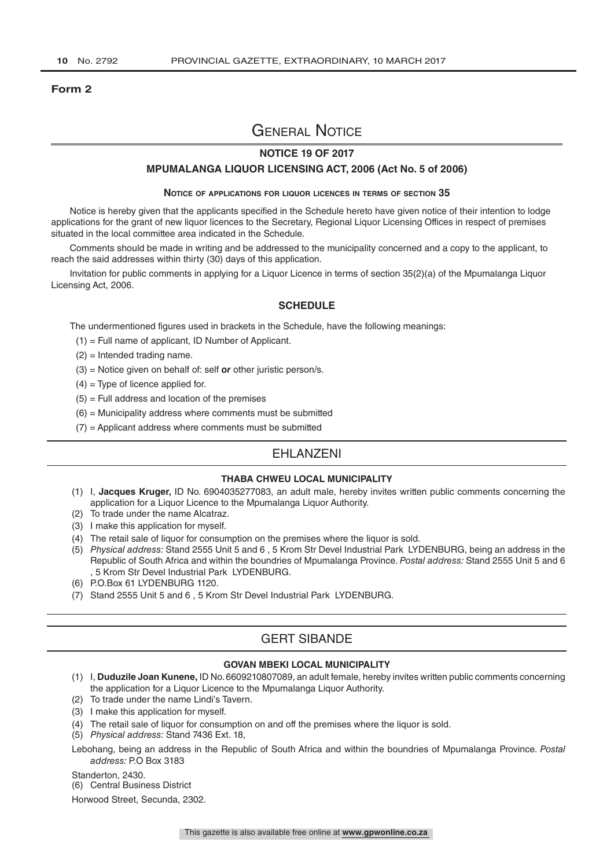#### **Form 2**

# General Notice

#### **NOTICE 19 OF 2017**

#### **MPUMALANGA LIQUOR LICENSING ACT, 2006 (Act No. 5 of 2006)**

#### **Notice of applications for liquor licences in terms of section 35**

Notice is hereby given that the applicants specified in the Schedule hereto have given notice of their intention to lodge applications for the grant of new liquor licences to the Secretary, Regional Liquor Licensing Offices in respect of premises situated in the local committee area indicated in the Schedule.

Comments should be made in writing and be addressed to the municipality concerned and a copy to the applicant, to reach the said addresses within thirty (30) days of this application.

Invitation for public comments in applying for a Liquor Licence in terms of section 35(2)(a) of the Mpumalanga Liquor Licensing Act, 2006.

#### **SCHEDULE**

The undermentioned figures used in brackets in the Schedule, have the following meanings:

- (1) = Full name of applicant, ID Number of Applicant.
- (2) = Intended trading name.
- (3) = Notice given on behalf of: self *or* other juristic person/s.
- $(4)$  = Type of licence applied for.
- $(5)$  = Full address and location of the premises
- $(6)$  = Municipality address where comments must be submitted
- $(7)$  = Applicant address where comments must be submitted

# EHLANZENI

#### **THABA CHWEU LOCAL MUNICIPALITY**

- (1) I, **Jacques Kruger,** ID No. 6904035277083, an adult male, hereby invites written public comments concerning the application for a Liquor Licence to the Mpumalanga Liquor Authority.
- (2) To trade under the name Alcatraz.
- (3) I make this application for myself.
- (4) The retail sale of liquor for consumption on the premises where the liquor is sold.
- (5) *Physical address:* Stand 2555 Unit 5 and 6 , 5 Krom Str Devel Industrial Park LYDENBURG, being an address in the Republic of South Africa and within the boundries of Mpumalanga Province. *Postal address:* Stand 2555 Unit 5 and 6 , 5 Krom Str Devel Industrial Park LYDENBURG.
- (6) P.O.Box 61 LYDENBURG 1120.
- (7) Stand 2555 Unit 5 and 6 , 5 Krom Str Devel Industrial Park LYDENBURG.

# GERT SIBANDE

#### **GOVAN MBEKI LOCAL MUNICIPALITY**

- (1) I, **Duduzile Joan Kunene,** ID No. 6609210807089, an adult female, hereby invites written public comments concerning the application for a Liquor Licence to the Mpumalanga Liquor Authority.
- (2) To trade under the name Lindi's Tavern.
- (3) I make this application for myself.
- (4) The retail sale of liquor for consumption on and off the premises where the liquor is sold.
- (5) *Physical address:* Stand 7436 Ext. 18,

Lebohang, being an address in the Republic of South Africa and within the boundries of Mpumalanga Province. *Postal address:* P.O Box 3183

Standerton, 2430.

(6) Central Business District

Horwood Street, Secunda, 2302.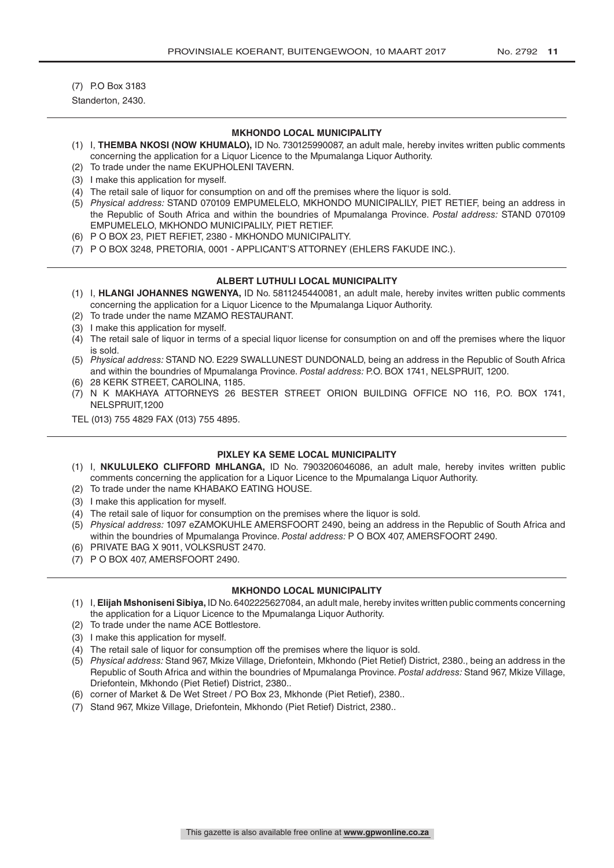(7) P.O Box 3183 Standerton, 2430.

#### **MKHONDO LOCAL MUNICIPALITY**

- (1) I, **THEMBA NKOSI (NOW KHUMALO),** ID No. 730125990087, an adult male, hereby invites written public comments concerning the application for a Liquor Licence to the Mpumalanga Liquor Authority.
- (2) To trade under the name EKUPHOLENI TAVERN.
- (3) I make this application for myself.
- (4) The retail sale of liquor for consumption on and off the premises where the liquor is sold.
- (5) *Physical address:* STAND 070109 EMPUMELELO, MKHONDO MUNICIPALILY, PIET RETIEF, being an address in the Republic of South Africa and within the boundries of Mpumalanga Province. *Postal address:* STAND 070109 EMPUMELELO, MKHONDO MUNICIPALILY, PIET RETIEF.
- (6) P O BOX 23, PIET REFIET, 2380 MKHONDO MUNICIPALITY.
- (7) P O BOX 3248, PRETORIA, 0001 APPLICANT'S ATTORNEY (EHLERS FAKUDE INC.).

#### **ALBERT LUTHULI LOCAL MUNICIPALITY**

- (1) I, **HLANGI JOHANNES NGWENYA,** ID No. 5811245440081, an adult male, hereby invites written public comments concerning the application for a Liquor Licence to the Mpumalanga Liquor Authority.
- (2) To trade under the name MZAMO RESTAURANT.
- (3) I make this application for myself.
- (4) The retail sale of liquor in terms of a special liquor license for consumption on and off the premises where the liquor is sold.
- (5) *Physical address:* STAND NO. E229 SWALLUNEST DUNDONALD, being an address in the Republic of South Africa and within the boundries of Mpumalanga Province. *Postal address:* P.O. BOX 1741, NELSPRUIT, 1200.
- (6) 28 KERK STREET, CAROLINA, 1185.
- (7) N K MAKHAYA ATTORNEYS 26 BESTER STREET ORION BUILDING OFFICE NO 116, P.O. BOX 1741, NELSPRUIT,1200
- TEL (013) 755 4829 FAX (013) 755 4895.

#### **PIXLEY KA SEME LOCAL MUNICIPALITY**

- (1) I, **NKULULEKO CLIFFORD MHLANGA,** ID No. 7903206046086, an adult male, hereby invites written public comments concerning the application for a Liquor Licence to the Mpumalanga Liquor Authority.
- (2) To trade under the name KHABAKO EATING HOUSE.
- (3) I make this application for myself.
- (4) The retail sale of liquor for consumption on the premises where the liquor is sold.
- (5) *Physical address:* 1097 eZAMOKUHLE AMERSFOORT 2490, being an address in the Republic of South Africa and within the boundries of Mpumalanga Province. *Postal address:* P O BOX 407, AMERSFOORT 2490.
- (6) PRIVATE BAG X 9011, VOLKSRUST 2470.
- (7) P O BOX 407, AMERSFOORT 2490.

#### **MKHONDO LOCAL MUNICIPALITY**

- (1) I, **Elijah Mshoniseni Sibiya,** ID No. 6402225627084, an adult male, hereby invites written public comments concerning the application for a Liquor Licence to the Mpumalanga Liquor Authority.
- (2) To trade under the name ACE Bottlestore.
- (3) I make this application for myself.
- (4) The retail sale of liquor for consumption off the premises where the liquor is sold.
- (5) *Physical address:* Stand 967, Mkize Village, Driefontein, Mkhondo (Piet Retief) District, 2380., being an address in the Republic of South Africa and within the boundries of Mpumalanga Province. *Postal address:* Stand 967, Mkize Village, Driefontein, Mkhondo (Piet Retief) District, 2380..
- (6) corner of Market & De Wet Street / PO Box 23, Mkhonde (Piet Retief), 2380..
- (7) Stand 967, Mkize Village, Driefontein, Mkhondo (Piet Retief) District, 2380..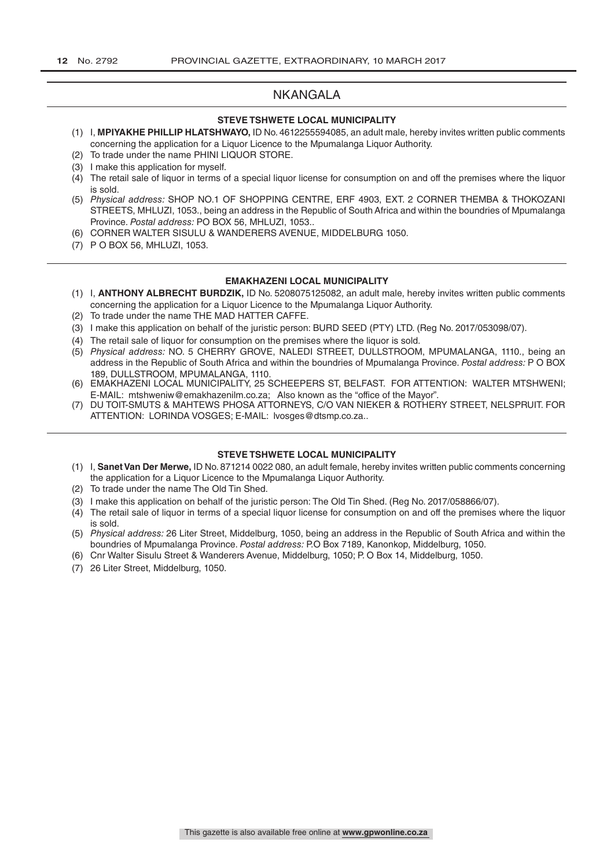# NKANGALA

#### **STEVE TSHWETE LOCAL MUNICIPALITY**

- (1) I, **MPIYAKHE PHILLIP HLATSHWAYO,** ID No. 4612255594085, an adult male, hereby invites written public comments concerning the application for a Liquor Licence to the Mpumalanga Liquor Authority.
- (2) To trade under the name PHINI LIQUOR STORE.
- (3) I make this application for myself.
- (4) The retail sale of liquor in terms of a special liquor license for consumption on and off the premises where the liquor is sold.
- (5) *Physical address:* SHOP NO.1 OF SHOPPING CENTRE, ERF 4903, EXT. 2 CORNER THEMBA & THOKOZANI STREETS, MHLUZI, 1053., being an address in the Republic of South Africa and within the boundries of Mpumalanga Province. *Postal address:* PO BOX 56, MHLUZI, 1053..
- (6) CORNER WALTER SISULU & WANDERERS AVENUE, MIDDELBURG 1050.
- (7) P O BOX 56, MHLUZI, 1053.

#### **EMAKHAZENI LOCAL MUNICIPALITY**

- (1) I, **ANTHONY ALBRECHT BURDZIK,** ID No. 5208075125082, an adult male, hereby invites written public comments concerning the application for a Liquor Licence to the Mpumalanga Liquor Authority.
- (2) To trade under the name THE MAD HATTER CAFFE.
- (3) I make this application on behalf of the juristic person: BURD SEED (PTY) LTD. (Reg No. 2017/053098/07).
- (4) The retail sale of liquor for consumption on the premises where the liquor is sold.
- (5) *Physical address:* NO. 5 CHERRY GROVE, NALEDI STREET, DULLSTROOM, MPUMALANGA, 1110., being an address in the Republic of South Africa and within the boundries of Mpumalanga Province. *Postal address:* P O BOX 189, DULLSTROOM, MPUMALANGA, 1110.
- (6) EMAKHAZENI LOCAL MUNICIPALITY, 25 SCHEEPERS ST, BELFAST. FOR ATTENTION: WALTER MTSHWENI; E-MAIL: mtshweniw@emakhazenilm.co.za; Also known as the "office of the Mayor".
- (7) DU TOIT-SMUTS & MAHTEWS PHOSA ATTORNEYS, C/O VAN NIEKER & ROTHERY STREET, NELSPRUIT. FOR ATTENTION: LORINDA VOSGES; E-MAIL: lvosges@dtsmp.co.za..

#### **STEVE TSHWETE LOCAL MUNICIPALITY**

- (1) I, **Sanet Van Der Merwe,** ID No. 871214 0022 080, an adult female, hereby invites written public comments concerning the application for a Liquor Licence to the Mpumalanga Liquor Authority.
- (2) To trade under the name The Old Tin Shed.
- (3) I make this application on behalf of the juristic person: The Old Tin Shed. (Reg No. 2017/058866/07).
- (4) The retail sale of liquor in terms of a special liquor license for consumption on and off the premises where the liquor is sold.
- (5) *Physical address:* 26 Liter Street, Middelburg, 1050, being an address in the Republic of South Africa and within the boundries of Mpumalanga Province. *Postal address:* P.O Box 7189, Kanonkop, Middelburg, 1050.
- (6) Cnr Walter Sisulu Street & Wanderers Avenue, Middelburg, 1050; P. O Box 14, Middelburg, 1050.
- (7) 26 Liter Street, Middelburg, 1050.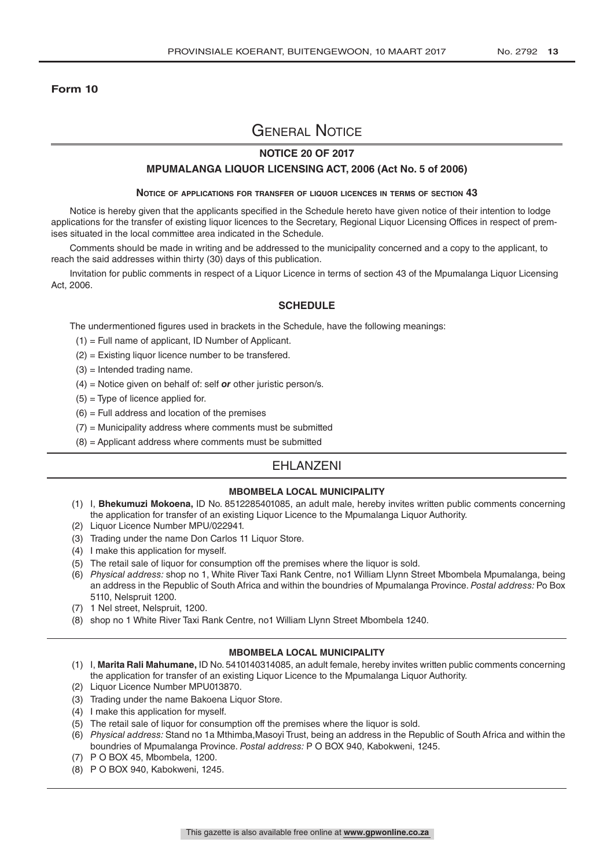#### **Form 10**

# General Notice

#### **NOTICE 20 OF 2017**

#### **MPUMALANGA LIQUOR LICENSING ACT, 2006 (Act No. 5 of 2006)**

#### **Notice of applications for transfer of liquor licences in terms of section 43**

Notice is hereby given that the applicants specified in the Schedule hereto have given notice of their intention to lodge applications for the transfer of existing liquor licences to the Secretary, Regional Liquor Licensing Offices in respect of premises situated in the local committee area indicated in the Schedule.

Comments should be made in writing and be addressed to the municipality concerned and a copy to the applicant, to reach the said addresses within thirty (30) days of this publication.

Invitation for public comments in respect of a Liquor Licence in terms of section 43 of the Mpumalanga Liquor Licensing Act, 2006.

#### **SCHEDULE**

The undermentioned figures used in brackets in the Schedule, have the following meanings:

- (1) = Full name of applicant, ID Number of Applicant.
- (2) = Existing liquor licence number to be transfered.
- $(3)$  = Intended trading name.
- (4) = Notice given on behalf of: self *or* other juristic person/s.
- $(5)$  = Type of licence applied for.
- $(6)$  = Full address and location of the premises
- $(7)$  = Municipality address where comments must be submitted
- $(8)$  = Applicant address where comments must be submitted

# EHLANZENI

#### **MBOMBELA LOCAL MUNICIPALITY**

- (1) I, **Bhekumuzi Mokoena,** ID No. 8512285401085, an adult male, hereby invites written public comments concerning the application for transfer of an existing Liquor Licence to the Mpumalanga Liquor Authority.
- (2) Liquor Licence Number MPU/022941.
- (3) Trading under the name Don Carlos 11 Liquor Store.
- (4) I make this application for myself.
- (5) The retail sale of liquor for consumption off the premises where the liquor is sold.
- (6) *Physical address:* shop no 1, White River Taxi Rank Centre, no1 William Llynn Street Mbombela Mpumalanga, being an address in the Republic of South Africa and within the boundries of Mpumalanga Province. *Postal address:* Po Box 5110, Nelspruit 1200.
- (7) 1 Nel street, Nelspruit, 1200.
- (8) shop no 1 White River Taxi Rank Centre, no1 William Llynn Street Mbombela 1240.

#### **MBOMBELA LOCAL MUNICIPALITY**

- (1) I, **Marita Rali Mahumane,** ID No. 5410140314085, an adult female, hereby invites written public comments concerning the application for transfer of an existing Liquor Licence to the Mpumalanga Liquor Authority.
- (2) Liquor Licence Number MPU013870.
- (3) Trading under the name Bakoena Liquor Store.
- (4) I make this application for myself.
- (5) The retail sale of liquor for consumption off the premises where the liquor is sold.
- (6) *Physical address:* Stand no 1a Mthimba,Masoyi Trust, being an address in the Republic of South Africa and within the boundries of Mpumalanga Province. *Postal address:* P O BOX 940, Kabokweni, 1245.
- (7) P O BOX 45, Mbombela, 1200.
- (8) P O BOX 940, Kabokweni, 1245.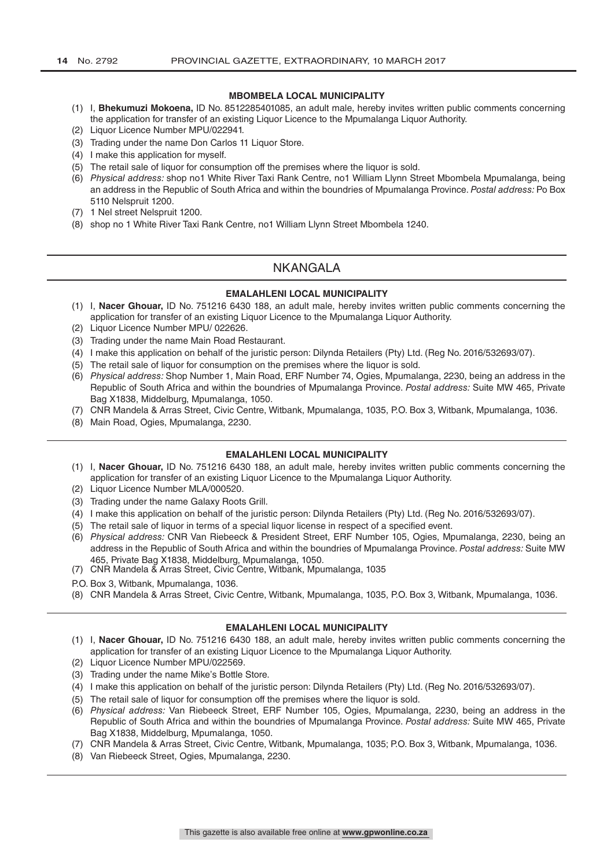#### **MBOMBELA LOCAL MUNICIPALITY**

- (1) I, **Bhekumuzi Mokoena,** ID No. 8512285401085, an adult male, hereby invites written public comments concerning the application for transfer of an existing Liquor Licence to the Mpumalanga Liquor Authority.
- (2) Liquor Licence Number MPU/022941.
- (3) Trading under the name Don Carlos 11 Liquor Store.
- (4) I make this application for myself.
- (5) The retail sale of liquor for consumption off the premises where the liquor is sold.
- (6) *Physical address:* shop no1 White River Taxi Rank Centre, no1 William Llynn Street Mbombela Mpumalanga, being an address in the Republic of South Africa and within the boundries of Mpumalanga Province. *Postal address:* Po Box 5110 Nelspruit 1200.
- (7) 1 Nel street Nelspruit 1200.
- (8) shop no 1 White River Taxi Rank Centre, no1 William Llynn Street Mbombela 1240.

# NKANGALA

#### **EMALAHLENI LOCAL MUNICIPALITY**

- (1) I, **Nacer Ghouar,** ID No. 751216 6430 188, an adult male, hereby invites written public comments concerning the application for transfer of an existing Liquor Licence to the Mpumalanga Liquor Authority.
- (2) Liquor Licence Number MPU/ 022626.
- (3) Trading under the name Main Road Restaurant.
- (4) I make this application on behalf of the juristic person: Dilynda Retailers (Pty) Ltd. (Reg No. 2016/532693/07).
- (5) The retail sale of liquor for consumption on the premises where the liquor is sold.
- (6) *Physical address:* Shop Number 1, Main Road, ERF Number 74, Ogies, Mpumalanga, 2230, being an address in the Republic of South Africa and within the boundries of Mpumalanga Province. *Postal address:* Suite MW 465, Private Bag X1838, Middelburg, Mpumalanga, 1050.
- (7) CNR Mandela & Arras Street, Civic Centre, Witbank, Mpumalanga, 1035, P.O. Box 3, Witbank, Mpumalanga, 1036.
- (8) Main Road, Ogies, Mpumalanga, 2230.

#### **EMALAHLENI LOCAL MUNICIPALITY**

- (1) I, **Nacer Ghouar,** ID No. 751216 6430 188, an adult male, hereby invites written public comments concerning the application for transfer of an existing Liquor Licence to the Mpumalanga Liquor Authority.
- (2) Liquor Licence Number MLA/000520.
- (3) Trading under the name Galaxy Roots Grill.
- (4) I make this application on behalf of the juristic person: Dilynda Retailers (Pty) Ltd. (Reg No. 2016/532693/07).
- (5) The retail sale of liquor in terms of a special liquor license in respect of a specified event.
- (6) *Physical address:* CNR Van Riebeeck & President Street, ERF Number 105, Ogies, Mpumalanga, 2230, being an address in the Republic of South Africa and within the boundries of Mpumalanga Province. *Postal address:* Suite MW 465, Private Bag X1838, Middelburg, Mpumalanga, 1050.
- (7) CNR Mandela & Arras Street, Civic Centre, Witbank, Mpumalanga, 1035
- P.O. Box 3, Witbank, Mpumalanga, 1036.
- (8) CNR Mandela & Arras Street, Civic Centre, Witbank, Mpumalanga, 1035, P.O. Box 3, Witbank, Mpumalanga, 1036.

#### **EMALAHLENI LOCAL MUNICIPALITY**

- (1) I, **Nacer Ghouar,** ID No. 751216 6430 188, an adult male, hereby invites written public comments concerning the application for transfer of an existing Liquor Licence to the Mpumalanga Liquor Authority.
- (2) Liquor Licence Number MPU/022569.
- (3) Trading under the name Mike's Bottle Store.
- (4) I make this application on behalf of the juristic person: Dilynda Retailers (Pty) Ltd. (Reg No. 2016/532693/07).
- (5) The retail sale of liquor for consumption off the premises where the liquor is sold.
- (6) *Physical address:* Van Riebeeck Street, ERF Number 105, Ogies, Mpumalanga, 2230, being an address in the Republic of South Africa and within the boundries of Mpumalanga Province. *Postal address:* Suite MW 465, Private Bag X1838, Middelburg, Mpumalanga, 1050.
- (7) CNR Mandela & Arras Street, Civic Centre, Witbank, Mpumalanga, 1035; P.O. Box 3, Witbank, Mpumalanga, 1036.
- (8) Van Riebeeck Street, Ogies, Mpumalanga, 2230.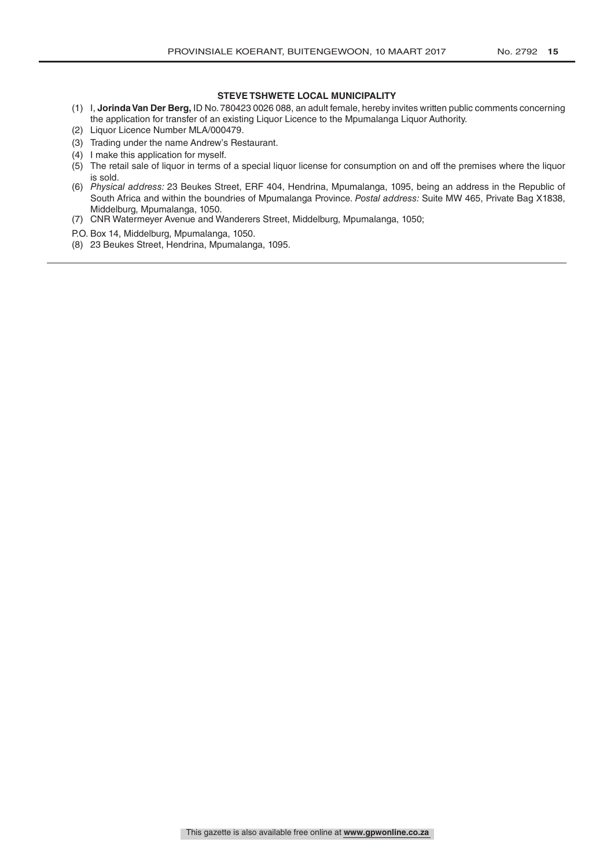#### **STEVE TSHWETE LOCAL MUNICIPALITY**

- (1) I, **Jorinda Van Der Berg,** ID No. 780423 0026 088, an adult female, hereby invites written public comments concerning the application for transfer of an existing Liquor Licence to the Mpumalanga Liquor Authority.
- (2) Liquor Licence Number MLA/000479.
- (3) Trading under the name Andrew's Restaurant.
- (4) I make this application for myself.
- (5) The retail sale of liquor in terms of a special liquor license for consumption on and off the premises where the liquor is sold.
- (6) *Physical address:* 23 Beukes Street, ERF 404, Hendrina, Mpumalanga, 1095, being an address in the Republic of South Africa and within the boundries of Mpumalanga Province. *Postal address:* Suite MW 465, Private Bag X1838, Middelburg, Mpumalanga, 1050.
- (7) CNR Watermeyer Avenue and Wanderers Street, Middelburg, Mpumalanga, 1050;
- P.O. Box 14, Middelburg, Mpumalanga, 1050.
- (8) 23 Beukes Street, Hendrina, Mpumalanga, 1095.